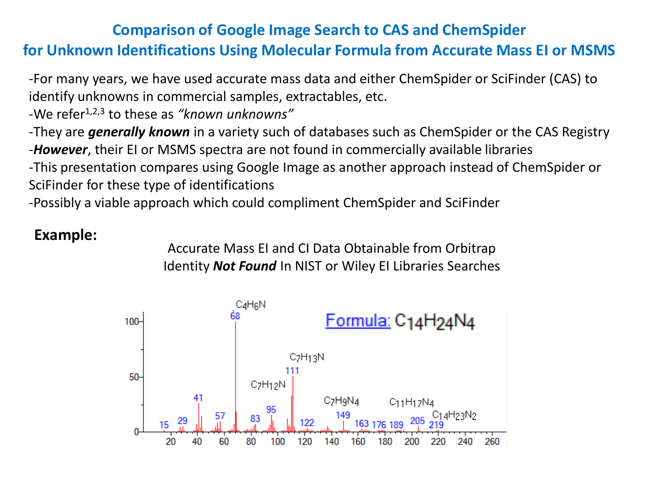#### **Comparison of Google Image Search to CAS and ChemSpider**

# **for Unknown Identifications Using Molecular Formula from Accurate Mass EI or MSMS**

-For many years, we have used accurate mass data and either ChemSpider or SciFinder (CAS) to identify unknowns in commercial samples, extractables, etc.

-We refer1,2,3 to these as *"known unknowns"* 

-They are *generally known* in a variety such of databases such as ChemSpider or the CAS Registry -*However*, their EI or MSMS spectra are not found in commercially available libraries

-This presentation compares using Google Image as another approach instead of ChemSpider or SciFinder for these type of identifications

-Possibly a viable approach which could compliment ChemSpider and SciFinder

#### **Example:**

Accurate Mass EI and CI Data Obtainable from Orbitrap Identity *Not Found* In NIST or Wiley EI Libraries Searches

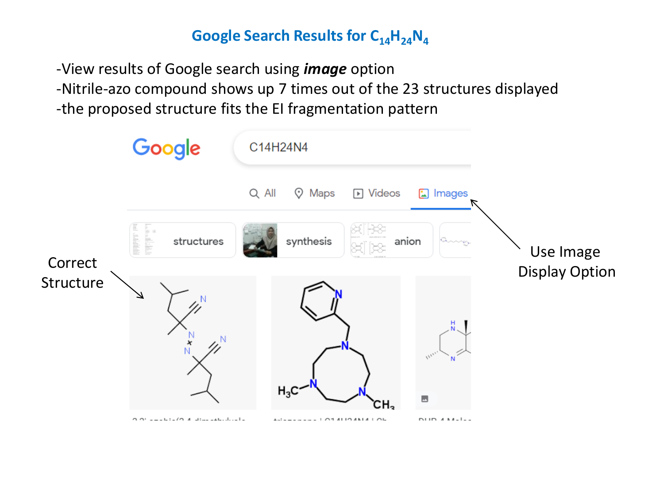## **Google Search Results for C14H24N<sup>4</sup>**

-View results of Google search using *image* option -Nitrile-azo compound shows up 7 times out of the 23 structures displayed -the proposed structure fits the EI fragmentation pattern

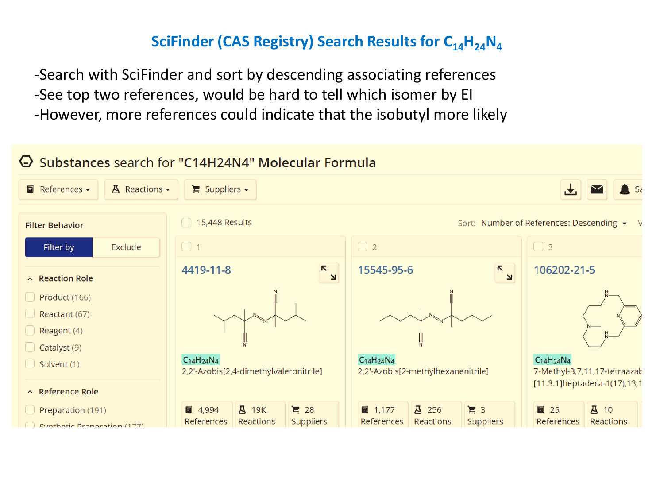### **SciFinder (CAS Registry) Search Results for C14H24N<sup>4</sup>**

-Search with SciFinder and sort by descending associating references -See top two references, would be hard to tell which isomer by EI -However, more references could indicate that the isobutyl more likely

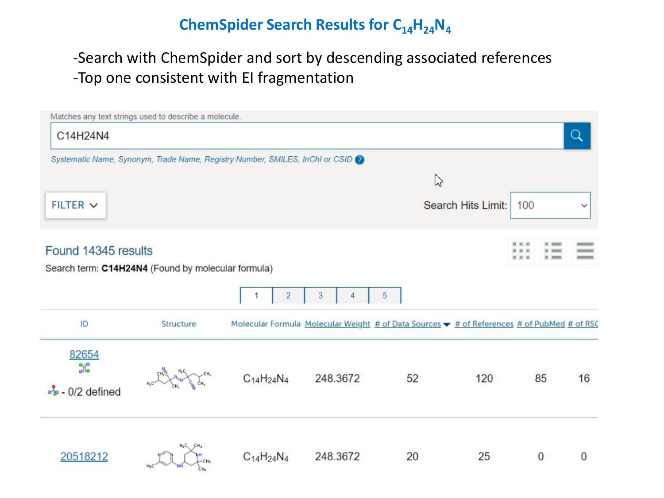## **ChemSpider Search Results for C14H24N<sup>4</sup>**

## -Search with ChemSpider and sort by descending associated references -Top one consistent with EI fragmentation

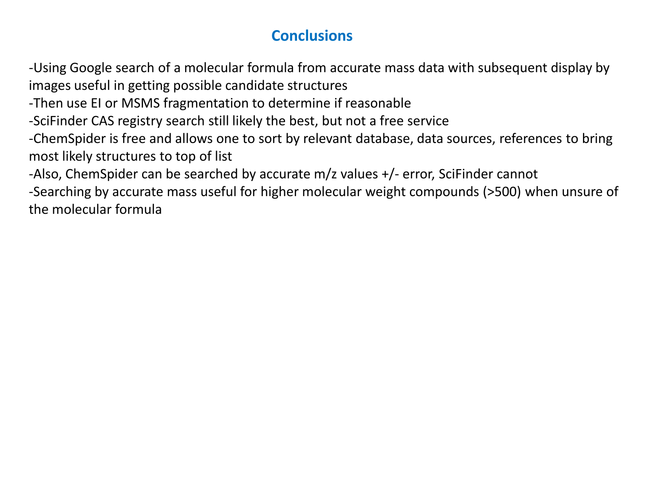#### **Conclusions**

-Using Google search of a molecular formula from accurate mass data with subsequent display by images useful in getting possible candidate structures

-Then use EI or MSMS fragmentation to determine if reasonable

-SciFinder CAS registry search still likely the best, but not a free service

-ChemSpider is free and allows one to sort by relevant database, data sources, references to bring most likely structures to top of list

-Also, ChemSpider can be searched by accurate m/z values +/- error, SciFinder cannot

-Searching by accurate mass useful for higher molecular weight compounds (>500) when unsure of the molecular formula